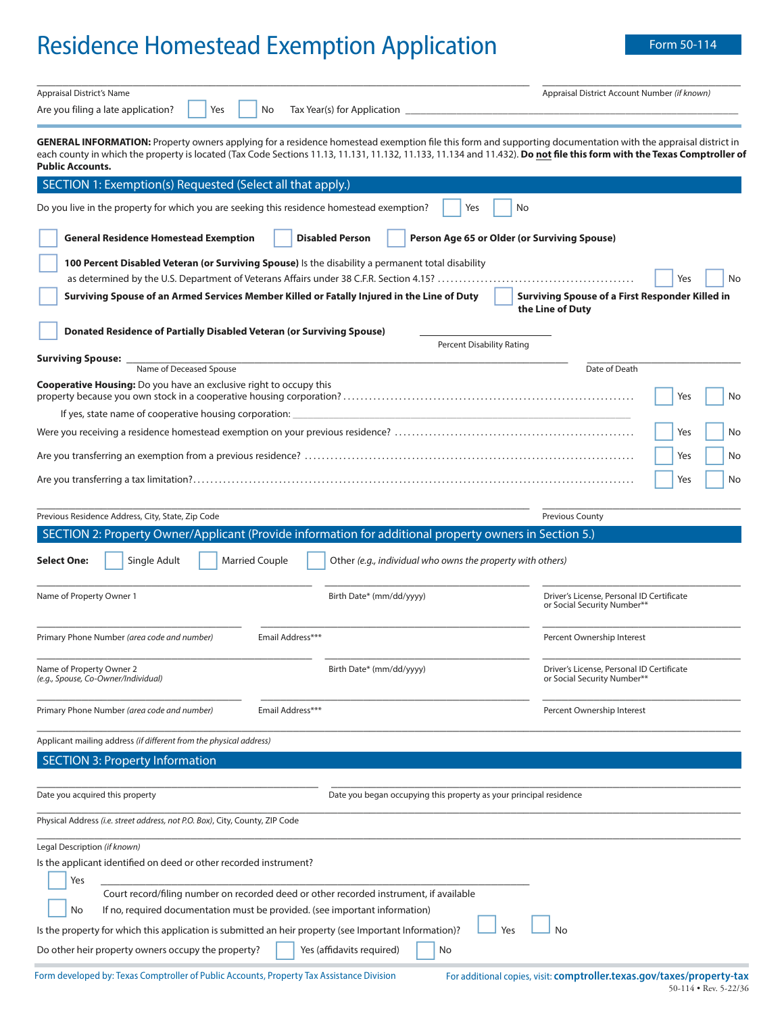# Residence Homestead Exemption Application Form 50-114

\_\_\_\_\_\_\_\_\_\_\_\_\_\_\_\_\_\_\_\_\_\_\_\_\_\_\_\_\_\_\_\_\_\_\_\_\_\_\_\_\_\_\_\_\_\_\_\_\_\_\_\_\_\_\_\_\_\_\_\_\_\_\_\_\_\_\_\_\_\_\_\_\_\_\_\_\_

| Appraisal District's Name                                                                                                                                                                                                                                                                                                                                         | Appraisal District Account Number (if known)                             |
|-------------------------------------------------------------------------------------------------------------------------------------------------------------------------------------------------------------------------------------------------------------------------------------------------------------------------------------------------------------------|--------------------------------------------------------------------------|
| Are you filing a late application?<br>Yes<br>Tax Year(s) for Application<br>No                                                                                                                                                                                                                                                                                    |                                                                          |
| GENERAL INFORMATION: Property owners applying for a residence homestead exemption file this form and supporting documentation with the appraisal district in<br>each county in which the property is located (Tax Code Sections 11.13, 11.131, 11.132, 11.133, 11.134 and 11.432). Do not file this form with the Texas Comptroller of<br><b>Public Accounts.</b> |                                                                          |
| SECTION 1: Exemption(s) Requested (Select all that apply.)                                                                                                                                                                                                                                                                                                        |                                                                          |
| Do you live in the property for which you are seeking this residence homestead exemption?<br>No<br>Yes                                                                                                                                                                                                                                                            |                                                                          |
| <b>General Residence Homestead Exemption</b><br><b>Disabled Person</b><br>Person Age 65 or Older (or Surviving Spouse)                                                                                                                                                                                                                                            |                                                                          |
| 100 Percent Disabled Veteran (or Surviving Spouse) Is the disability a permanent total disability                                                                                                                                                                                                                                                                 |                                                                          |
|                                                                                                                                                                                                                                                                                                                                                                   | Yes<br>No<br>Surviving Spouse of a First Responder Killed in             |
| Surviving Spouse of an Armed Services Member Killed or Fatally Injured in the Line of Duty                                                                                                                                                                                                                                                                        | the Line of Duty                                                         |
| Donated Residence of Partially Disabled Veteran (or Surviving Spouse)<br>Percent Disability Rating                                                                                                                                                                                                                                                                |                                                                          |
| <b>Surviving Spouse:</b><br>Name of Deceased Spouse                                                                                                                                                                                                                                                                                                               | Date of Death                                                            |
| Cooperative Housing: Do you have an exclusive right to occupy this                                                                                                                                                                                                                                                                                                | Yes<br>No                                                                |
| If yes, state name of cooperative housing corporation:                                                                                                                                                                                                                                                                                                            |                                                                          |
|                                                                                                                                                                                                                                                                                                                                                                   | Yes<br>No                                                                |
|                                                                                                                                                                                                                                                                                                                                                                   | Yes<br>No                                                                |
|                                                                                                                                                                                                                                                                                                                                                                   | Yes<br>No                                                                |
| Previous Residence Address, City, State, Zip Code                                                                                                                                                                                                                                                                                                                 | Previous County                                                          |
| SECTION 2: Property Owner/Applicant (Provide information for additional property owners in Section 5.)                                                                                                                                                                                                                                                            |                                                                          |
| <b>Married Couple</b><br><b>Select One:</b><br>Single Adult<br>Other (e.g., individual who owns the property with others)                                                                                                                                                                                                                                         |                                                                          |
|                                                                                                                                                                                                                                                                                                                                                                   |                                                                          |
| Name of Property Owner 1<br>Birth Date* (mm/dd/yyyy)                                                                                                                                                                                                                                                                                                              | Driver's License, Personal ID Certificate<br>or Social Security Number** |
| Primary Phone Number (area code and number)<br>Email Address***                                                                                                                                                                                                                                                                                                   | Percent Ownership Interest                                               |
| Name of Property Owner 2<br>Birth Date* (mm/dd/yyyy)<br>(e.g., Spouse, Co-Owner/Individual)                                                                                                                                                                                                                                                                       | Driver's License, Personal ID Certificate<br>or Social Security Number** |
| Email Address***<br>Primary Phone Number (area code and number)                                                                                                                                                                                                                                                                                                   | Percent Ownership Interest                                               |
| Applicant mailing address (if different from the physical address)                                                                                                                                                                                                                                                                                                |                                                                          |
| <b>SECTION 3: Property Information</b>                                                                                                                                                                                                                                                                                                                            |                                                                          |
|                                                                                                                                                                                                                                                                                                                                                                   |                                                                          |
| Date you acquired this property<br>Date you began occupying this property as your principal residence                                                                                                                                                                                                                                                             |                                                                          |
| Physical Address (i.e. street address, not P.O. Box), City, County, ZIP Code                                                                                                                                                                                                                                                                                      |                                                                          |
| Legal Description (if known)                                                                                                                                                                                                                                                                                                                                      |                                                                          |
| Is the applicant identified on deed or other recorded instrument?                                                                                                                                                                                                                                                                                                 |                                                                          |
| Yes<br>Court record/filing number on recorded deed or other recorded instrument, if available                                                                                                                                                                                                                                                                     |                                                                          |
| If no, required documentation must be provided. (see important information)<br>No                                                                                                                                                                                                                                                                                 |                                                                          |
| Is the property for which this application is submitted an heir property (see Important Information)?<br>Yes                                                                                                                                                                                                                                                      | No                                                                       |
| Do other heir property owners occupy the property?<br>Yes (affidavits required)<br>No                                                                                                                                                                                                                                                                             |                                                                          |
|                                                                                                                                                                                                                                                                                                                                                                   |                                                                          |

Form developed by: Texas Comptroller of Public Accounts, Property Tax Assistance Division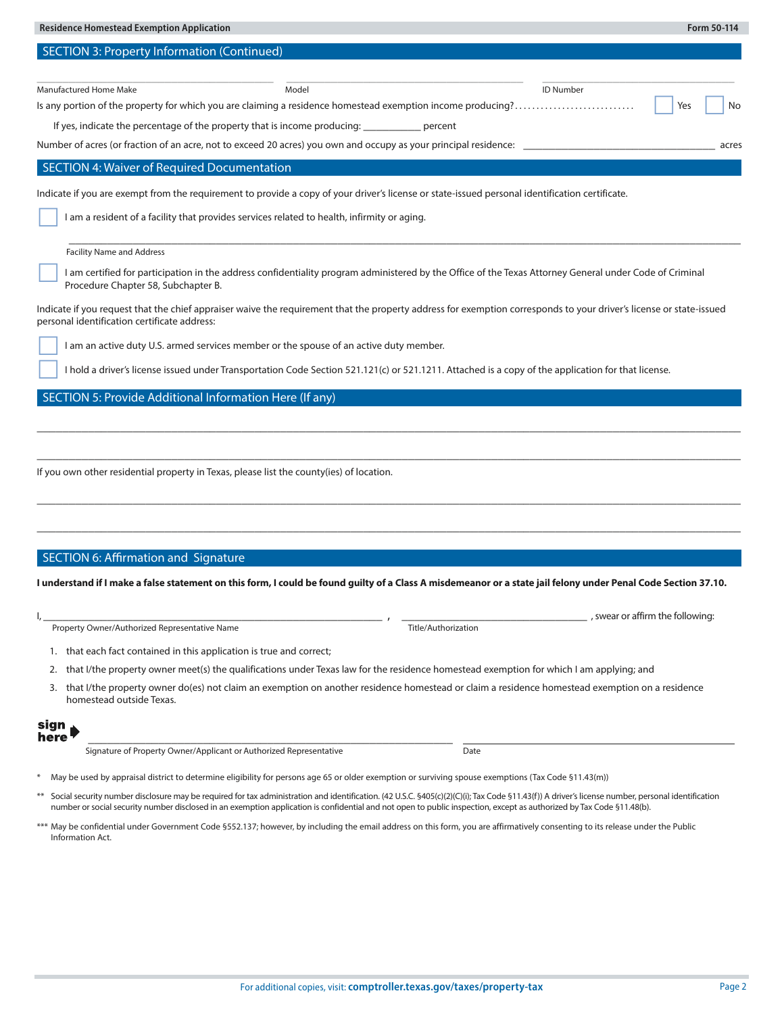| <b>Residence Homestead Exemption Application</b><br>Form 50-114                                                                                                                                                                                                                                                                                                                    |       |
|------------------------------------------------------------------------------------------------------------------------------------------------------------------------------------------------------------------------------------------------------------------------------------------------------------------------------------------------------------------------------------|-------|
| <b>SECTION 3: Property Information (Continued)</b>                                                                                                                                                                                                                                                                                                                                 |       |
|                                                                                                                                                                                                                                                                                                                                                                                    |       |
| Manufactured Home Make<br><b>ID Number</b><br>Model                                                                                                                                                                                                                                                                                                                                |       |
| Is any portion of the property for which you are claiming a residence homestead exemption income producing?<br>Yes                                                                                                                                                                                                                                                                 | No    |
| If yes, indicate the percentage of the property that is income producing:<br>percent                                                                                                                                                                                                                                                                                               |       |
| Number of acres (or fraction of an acre, not to exceed 20 acres) you own and occupy as your principal residence:                                                                                                                                                                                                                                                                   | acres |
| <b>SECTION 4: Waiver of Required Documentation</b>                                                                                                                                                                                                                                                                                                                                 |       |
| Indicate if you are exempt from the requirement to provide a copy of your driver's license or state-issued personal identification certificate.                                                                                                                                                                                                                                    |       |
| I am a resident of a facility that provides services related to health, infirmity or aging.                                                                                                                                                                                                                                                                                        |       |
| <b>Facility Name and Address</b>                                                                                                                                                                                                                                                                                                                                                   |       |
| I am certified for participation in the address confidentiality program administered by the Office of the Texas Attorney General under Code of Criminal<br>Procedure Chapter 58, Subchapter B.                                                                                                                                                                                     |       |
| Indicate if you request that the chief appraiser waive the requirement that the property address for exemption corresponds to your driver's license or state-issued<br>personal identification certificate address:                                                                                                                                                                |       |
| I am an active duty U.S. armed services member or the spouse of an active duty member.                                                                                                                                                                                                                                                                                             |       |
| I hold a driver's license issued under Transportation Code Section 521.121(c) or 521.1211. Attached is a copy of the application for that license.                                                                                                                                                                                                                                 |       |
| SECTION 5: Provide Additional Information Here (If any)                                                                                                                                                                                                                                                                                                                            |       |
|                                                                                                                                                                                                                                                                                                                                                                                    |       |
|                                                                                                                                                                                                                                                                                                                                                                                    |       |
|                                                                                                                                                                                                                                                                                                                                                                                    |       |
| If you own other residential property in Texas, please list the county(ies) of location.                                                                                                                                                                                                                                                                                           |       |
|                                                                                                                                                                                                                                                                                                                                                                                    |       |
|                                                                                                                                                                                                                                                                                                                                                                                    |       |
|                                                                                                                                                                                                                                                                                                                                                                                    |       |
|                                                                                                                                                                                                                                                                                                                                                                                    |       |
| <b>SECTION 6: Affirmation and Signature</b>                                                                                                                                                                                                                                                                                                                                        |       |
|                                                                                                                                                                                                                                                                                                                                                                                    |       |
| I understand if I make a false statement on this form, I could be found quilty of a Class A misdemeanor or a state iail felony under Penal Code Section 37.10                                                                                                                                                                                                                      |       |
| , swear or affirm the following:                                                                                                                                                                                                                                                                                                                                                   |       |
| Property Owner/Authorized Representative Name<br>Title/Authorization                                                                                                                                                                                                                                                                                                               |       |
| 1. that each fact contained in this application is true and correct;                                                                                                                                                                                                                                                                                                               |       |
| that I/the property owner meet(s) the qualifications under Texas law for the residence homestead exemption for which I am applying; and<br>2.                                                                                                                                                                                                                                      |       |
| that I/the property owner do(es) not claim an exemption on another residence homestead or claim a residence homestead exemption on a residence<br>3.                                                                                                                                                                                                                               |       |
| homestead outside Texas.                                                                                                                                                                                                                                                                                                                                                           |       |
|                                                                                                                                                                                                                                                                                                                                                                                    |       |
|                                                                                                                                                                                                                                                                                                                                                                                    |       |
| sign<br>here                                                                                                                                                                                                                                                                                                                                                                       |       |
| Signature of Property Owner/Applicant or Authorized Representative<br>Date                                                                                                                                                                                                                                                                                                         |       |
| May be used by appraisal district to determine eligibility for persons age 65 or older exemption or surviving spouse exemptions (Tax Code §11.43(m))                                                                                                                                                                                                                               |       |
| Social security number disclosure may be required for tax administration and identification. (42 U.S.C. §405(c)(2)(C)(i); Tax Code §11.43(f)) A driver's license number, personal identification<br>$***$<br>number or social security number disclosed in an exemption application is confidential and not open to public inspection, except as authorized by Tax Code §11.48(b). |       |